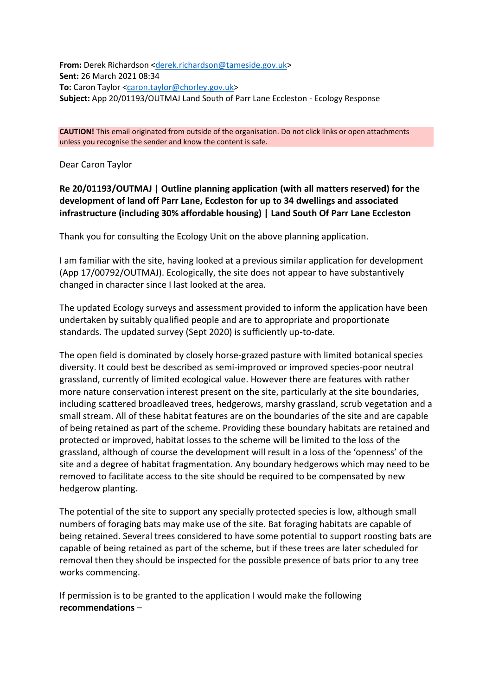**From:** Derek Richardson [<derek.richardson@tameside.gov.uk>](mailto:derek.richardson@tameside.gov.uk) **Sent:** 26 March 2021 08:34 **To:** Caron Taylor [<caron.taylor@chorley.gov.uk>](mailto:caron.taylor@chorley.gov.uk) **Subject:** App 20/01193/OUTMAJ Land South of Parr Lane Eccleston - Ecology Response

**CAUTION!** This email originated from outside of the organisation. Do not click links or open attachments unless you recognise the sender and know the content is safe.

Dear Caron Taylor

**Re 20/01193/OUTMAJ | Outline planning application (with all matters reserved) for the development of land off Parr Lane, Eccleston for up to 34 dwellings and associated infrastructure (including 30% affordable housing) | Land South Of Parr Lane Eccleston**

Thank you for consulting the Ecology Unit on the above planning application.

I am familiar with the site, having looked at a previous similar application for development (App 17/00792/OUTMAJ). Ecologically, the site does not appear to have substantively changed in character since I last looked at the area.

The updated Ecology surveys and assessment provided to inform the application have been undertaken by suitably qualified people and are to appropriate and proportionate standards. The updated survey (Sept 2020) is sufficiently up-to-date.

The open field is dominated by closely horse-grazed pasture with limited botanical species diversity. It could best be described as semi-improved or improved species-poor neutral grassland, currently of limited ecological value. However there are features with rather more nature conservation interest present on the site, particularly at the site boundaries, including scattered broadleaved trees, hedgerows, marshy grassland, scrub vegetation and a small stream. All of these habitat features are on the boundaries of the site and are capable of being retained as part of the scheme. Providing these boundary habitats are retained and protected or improved, habitat losses to the scheme will be limited to the loss of the grassland, although of course the development will result in a loss of the 'openness' of the site and a degree of habitat fragmentation. Any boundary hedgerows which may need to be removed to facilitate access to the site should be required to be compensated by new hedgerow planting.

The potential of the site to support any specially protected species is low, although small numbers of foraging bats may make use of the site. Bat foraging habitats are capable of being retained. Several trees considered to have some potential to support roosting bats are capable of being retained as part of the scheme, but if these trees are later scheduled for removal then they should be inspected for the possible presence of bats prior to any tree works commencing.

If permission is to be granted to the application I would make the following **recommendations** –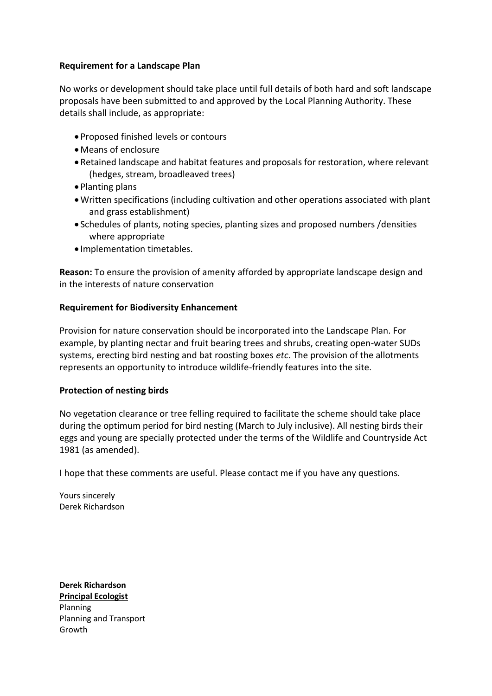## **Requirement for a Landscape Plan**

No works or development should take place until full details of both hard and soft landscape proposals have been submitted to and approved by the Local Planning Authority. These details shall include, as appropriate:

- Proposed finished levels or contours
- Means of enclosure
- Retained landscape and habitat features and proposals for restoration, where relevant (hedges, stream, broadleaved trees)
- Planting plans
- Written specifications (including cultivation and other operations associated with plant and grass establishment)
- Schedules of plants, noting species, planting sizes and proposed numbers /densities where appropriate
- Implementation timetables.

**Reason:** To ensure the provision of amenity afforded by appropriate landscape design and in the interests of nature conservation

## **Requirement for Biodiversity Enhancement**

Provision for nature conservation should be incorporated into the Landscape Plan. For example, by planting nectar and fruit bearing trees and shrubs, creating open-water SUDs systems, erecting bird nesting and bat roosting boxes *etc*. The provision of the allotments represents an opportunity to introduce wildlife-friendly features into the site.

## **Protection of nesting birds**

No vegetation clearance or tree felling required to facilitate the scheme should take place during the optimum period for bird nesting (March to July inclusive). All nesting birds their eggs and young are specially protected under the terms of the Wildlife and Countryside Act 1981 (as amended).

I hope that these comments are useful. Please contact me if you have any questions.

Yours sincerely Derek Richardson

**Derek Richardson Principal Ecologist** Planning Planning and Transport Growth